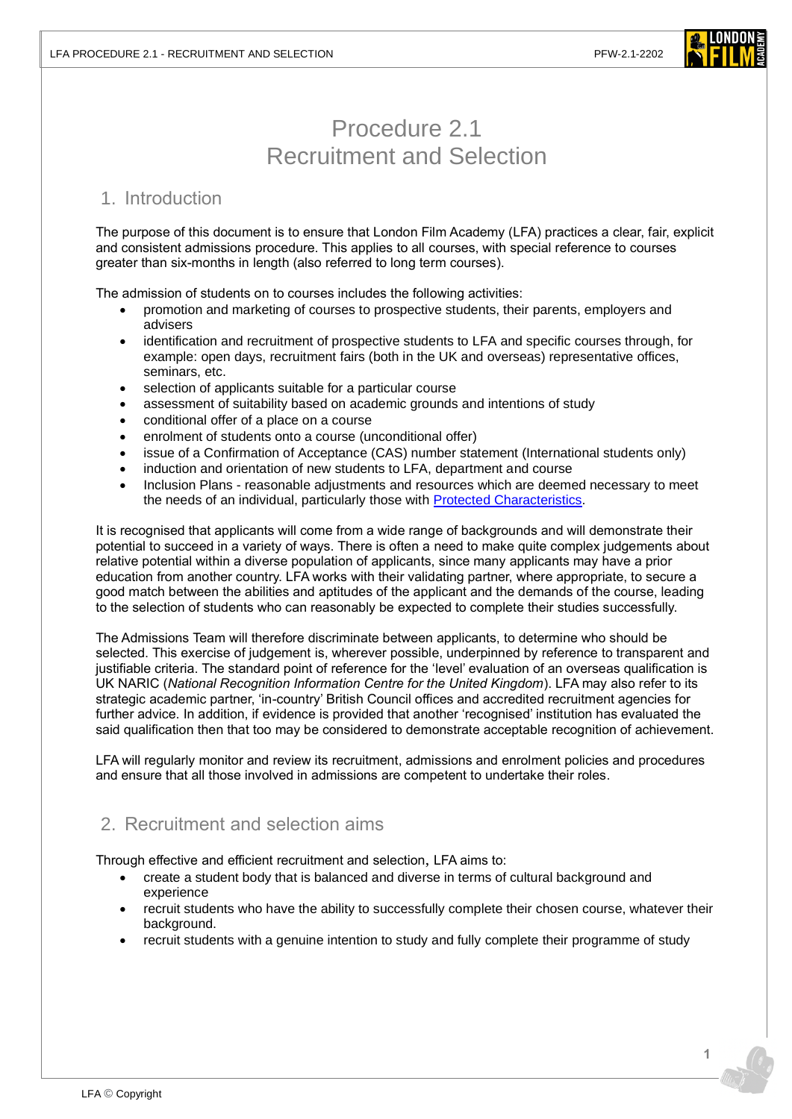

# Procedure 2.1 Recruitment and Selection

# 1. Introduction

The purpose of this document is to ensure that London Film Academy (LFA) practices a clear, fair, explicit and consistent admissions procedure. This applies to all courses, with special reference to courses greater than six-months in length (also referred to long term courses).

The admission of students on to courses includes the following activities:

- promotion and marketing of courses to prospective students, their parents, employers and advisers
- identification and recruitment of prospective students to LFA and specific courses through, for example: open days, recruitment fairs (both in the UK and overseas) representative offices, seminars, etc.
- selection of applicants suitable for a particular course
- assessment of suitability based on academic grounds and intentions of study
- conditional offer of a place on a course
- enrolment of students onto a course (unconditional offer)
- issue of a Confirmation of Acceptance (CAS) number statement (International students only)
- induction and orientation of new students to LFA, department and course
- Inclusion Plans reasonable adjustments and resources which are deemed necessary to meet the needs of an individual, particularly those with Protected [Characteristics.](https://www.equalityhumanrights.com/en/equality-act/protected-characteristics)

It is recognised that applicants will come from a wide range of backgrounds and will demonstrate their potential to succeed in a variety of ways. There is often a need to make quite complex judgements about relative potential within a diverse population of applicants, since many applicants may have a prior education from another country. LFA works with their validating partner, where appropriate, to secure a good match between the abilities and aptitudes of the applicant and the demands of the course, leading to the selection of students who can reasonably be expected to complete their studies successfully.

The Admissions Team will therefore discriminate between applicants, to determine who should be selected. This exercise of judgement is, wherever possible, underpinned by reference to transparent and justifiable criteria. The standard point of reference for the 'level' evaluation of an overseas qualification is UK NARIC (*National Recognition Information Centre for the United Kingdom*). LFA may also refer to its strategic academic partner, 'in-country' British Council offices and accredited recruitment agencies for further advice. In addition, if evidence is provided that another 'recognised' institution has evaluated the said qualification then that too may be considered to demonstrate acceptable recognition of achievement.

LFA will regularly monitor and review its recruitment, admissions and enrolment policies and procedures and ensure that all those involved in admissions are competent to undertake their roles.

# 2. Recruitment and selection aims

Through effective and efficient recruitment and selection, LFA aims to:

- create a student body that is balanced and diverse in terms of cultural background and experience
- recruit students who have the ability to successfully complete their chosen course, whatever their background.
- recruit students with a genuine intention to study and fully complete their programme of study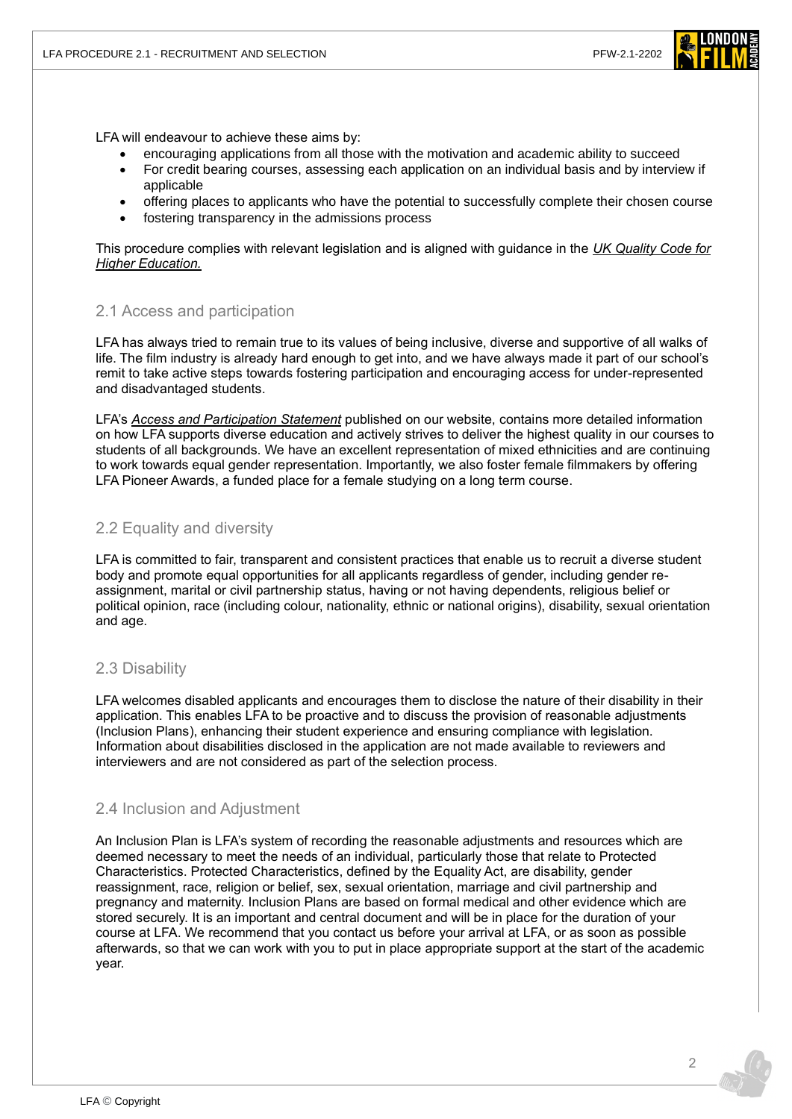

LFA will endeavour to achieve these aims by:

- encouraging applications from all those with the motivation and academic ability to succeed
- For credit bearing courses, assessing each application on an individual basis and by interview if applicable
- offering places to applicants who have the potential to successfully complete their chosen course
- fostering transparency in the admissions process

 This procedure complies with relevant legislation and is aligned with guidance in the *[UK Quality Code for](https://www.qaa.ac.uk/quality-code)  [Higher Education.](https://www.qaa.ac.uk/quality-code)*

#### 2.1 Access and participation

LFA has always tried to remain true to its values of being inclusive, diverse and supportive of all walks of life. The film industry is already hard enough to get into, and we have always made it part of our school's remit to take active steps towards fostering participation and encouraging access for under-represented and disadvantaged students.

LFA's *[Access and Participation Statement](https://www.londonfilmacademy.com/LFA_Access_and_Participation_Statement.pdf)* published on our website, contains more detailed information on how LFA supports diverse education and actively strives to deliver the highest quality in our courses to students of all backgrounds. We have an excellent representation of mixed ethnicities and are continuing to work towards equal gender representation. Importantly, we also foster female filmmakers by offering LFA Pioneer Awards, a funded place for a female studying on a long term course.

### 2.2 Equality and diversity

LFA is committed to fair, transparent and consistent practices that enable us to recruit a diverse student body and promote equal opportunities for all applicants regardless of gender, including gender reassignment, marital or civil partnership status, having or not having dependents, religious belief or political opinion, race (including colour, nationality, ethnic or national origins), disability, sexual orientation and age.

### 2.3 Disability

LFA welcomes disabled applicants and encourages them to disclose the nature of their disability in their application. This enables LFA to be proactive and to discuss the provision of reasonable adjustments (Inclusion Plans), enhancing their student experience and ensuring compliance with legislation. Information about disabilities disclosed in the application are not made available to reviewers and interviewers and are not considered as part of the selection process.

### 2.4 Inclusion and Adjustment

An Inclusion Plan is LFA's system of recording the reasonable adjustments and resources which are deemed necessary to meet the needs of an individual, particularly those that relate to Protected Characteristics. Protected Characteristics, defined by the Equality Act, are disability, gender reassignment, race, religion or belief, sex, sexual orientation, marriage and civil partnership and pregnancy and maternity. Inclusion Plans are based on formal medical and other evidence which are stored securely. It is an important and central document and will be in place for the duration of your course at LFA. We recommend that you contact us before your arrival at LFA, or as soon as possible afterwards, so that we can work with you to put in place appropriate support at the start of the academic year.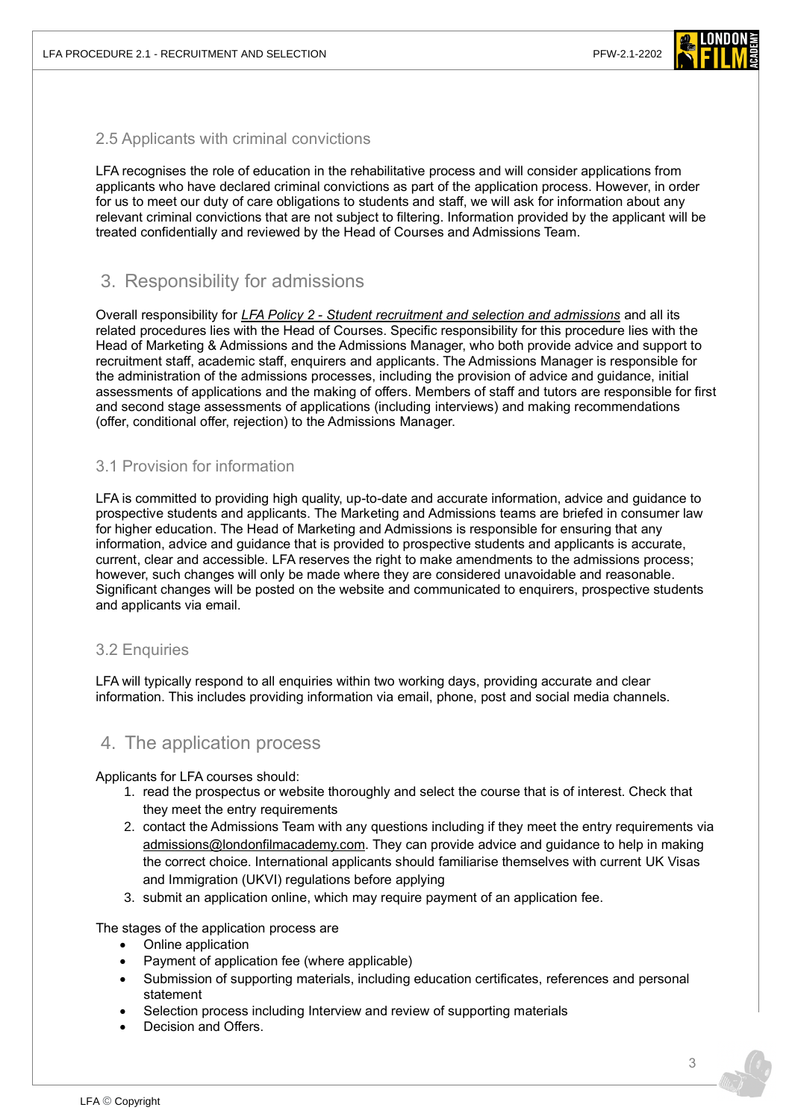

#### 2.5 Applicants with criminal convictions

LFA recognises the role of education in the rehabilitative process and will consider applications from applicants who have declared criminal convictions as part of the application process. However, in order for us to meet our duty of care obligations to students and staff, we will ask for information about any relevant criminal convictions that are not subject to filtering. Information provided by the applicant will be treated confidentially and reviewed by the Head of Courses and Admissions Team.

# 3. Responsibility for admissions

Overall responsibility for *LFA Policy 2 - Student recruitment and [selection and admissions](https://www.londonfilmacademy.com/LFA_Policy_2_Recruitment,_selection_and_admissions)* and all its related procedures lies with the Head of Courses. Specific responsibility for this procedure lies with the Head of Marketing & Admissions and the Admissions Manager, who both provide advice and support to recruitment staff, academic staff, enquirers and applicants. The Admissions Manager is responsible for the administration of the admissions processes, including the provision of advice and guidance, initial assessments of applications and the making of offers. Members of staff and tutors are responsible for first and second stage assessments of applications (including interviews) and making recommendations (offer, conditional offer, rejection) to the Admissions Manager.

### 3.1 Provision for information

LFA is committed to providing high quality, up-to-date and accurate information, advice and guidance to prospective students and applicants. The Marketing and Admissions teams are briefed in consumer law for higher education. The Head of Marketing and Admissions is responsible for ensuring that any information, advice and guidance that is provided to prospective students and applicants is accurate, current, clear and accessible. LFA reserves the right to make amendments to the admissions process; however, such changes will only be made where they are considered unavoidable and reasonable. Significant changes will be posted on the website and communicated to enquirers, prospective students and applicants via email.

### 3.2 Enquiries

LFA will typically respond to all enquiries within two working days, providing accurate and clear information. This includes providing information via email, phone, post and social media channels.

# 4. The application process

Applicants for LFA courses should:

- 1. read the prospectus or website thoroughly and select the course that is of interest. Check that they meet the entry requirements
- 2. contact the Admissions Team with any questions including if they meet the entry requirements via [admissions@londonfilmacademy.com.](mailto:admissions@londonfilmacademy.com?subject=Enquiry) They can provide advice and guidance to help in making the correct choice. International applicants should familiarise themselves with current UK Visas and Immigration (UKVI) regulations before applying
- 3. submit an application online, which may require payment of an application fee.

The stages of the application process are

- Online application
- Payment of application fee (where applicable)
- Submission of supporting materials, including education certificates, references and personal statement
- Selection process including Interview and review of supporting materials
- Decision and Offers.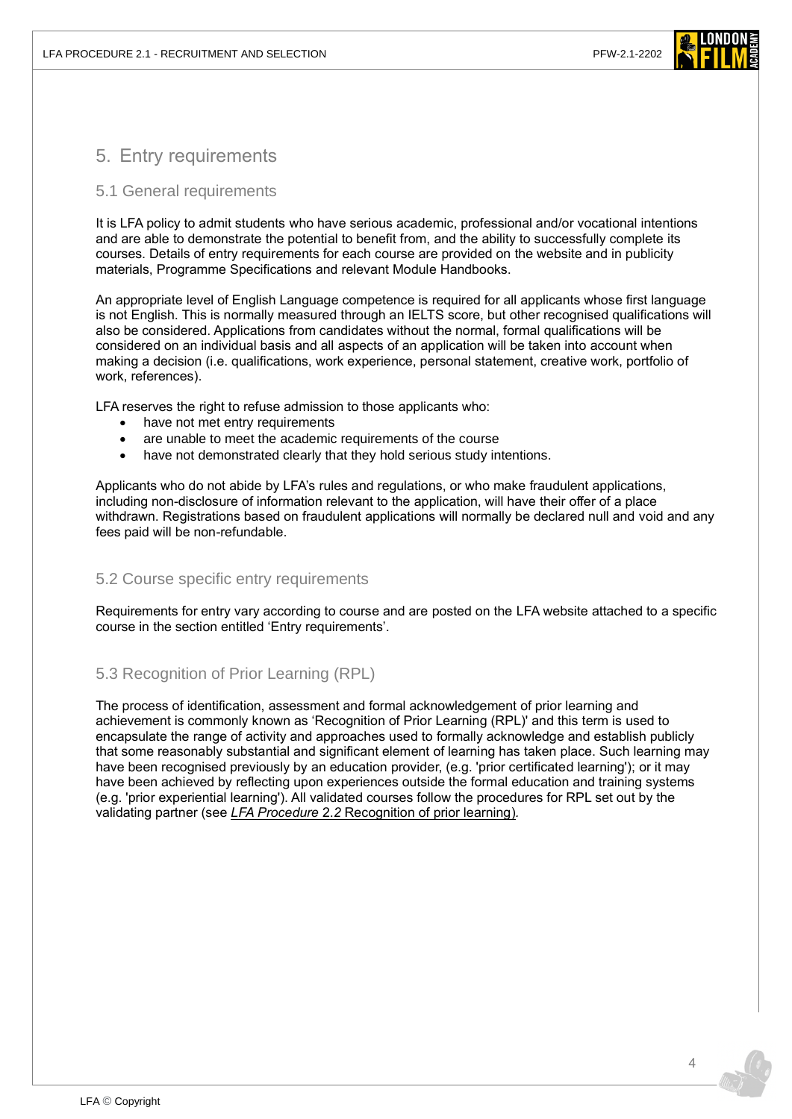

# 5. Entry requirements

#### 5.1 General requirements

 courses. Details of entry requirements for each course are provided on the website and in publicity It is LFA policy to admit students who have serious academic, professional and/or vocational intentions and are able to demonstrate the potential to benefit from, and the ability to successfully complete its materials, Programme Specifications and relevant Module Handbooks.

An appropriate level of English Language competence is required for all applicants whose first language is not English. This is normally measured through an IELTS score, but other recognised qualifications will also be considered. Applications from candidates without the normal, formal qualifications will be considered on an individual basis and all aspects of an application will be taken into account when making a decision (i.e. qualifications, work experience, personal statement, creative work, portfolio of work, references).

LFA reserves the right to refuse admission to those applicants who:

- have not met entry requirements
- are unable to meet the academic requirements of the course
- have not demonstrated clearly that they hold serious study intentions.

Applicants who do not abide by LFA's rules and regulations, or who make fraudulent applications, including non-disclosure of information relevant to the application, will have their offer of a place withdrawn. Registrations based on fraudulent applications will normally be declared null and void and any fees paid will be non-refundable.

### 5.2 Course specific entry requirements

Requirements for entry vary according to course and are posted on the LFA website attached to a specific course in the section entitled 'Entry requirements'.

# 5.3 Recognition of Prior Learning (RPL)

The process of identification, assessment and formal acknowledgement of prior learning and achievement is commonly known as 'Recognition of Prior Learning (RPL)' and this term is used to encapsulate the range of activity and approaches used to formally acknowledge and establish publicly that some reasonably substantial and significant element of learning has taken place. Such learning may have been recognised previously by an education provider, (e.g. 'prior certificated learning'); or it may have been achieved by reflecting upon experiences outside the formal education and training systems (e.g. 'prior experiential learning'). All validated courses follow the procedures for RPL set out by the validating partner (see *LFA Procedure* 2.*2* [Recognition of prior learning\)](https://www.londonfilmacademy.com/LFA_Procedure_2.2_Recognition_of_prior_learning.pdf)*.*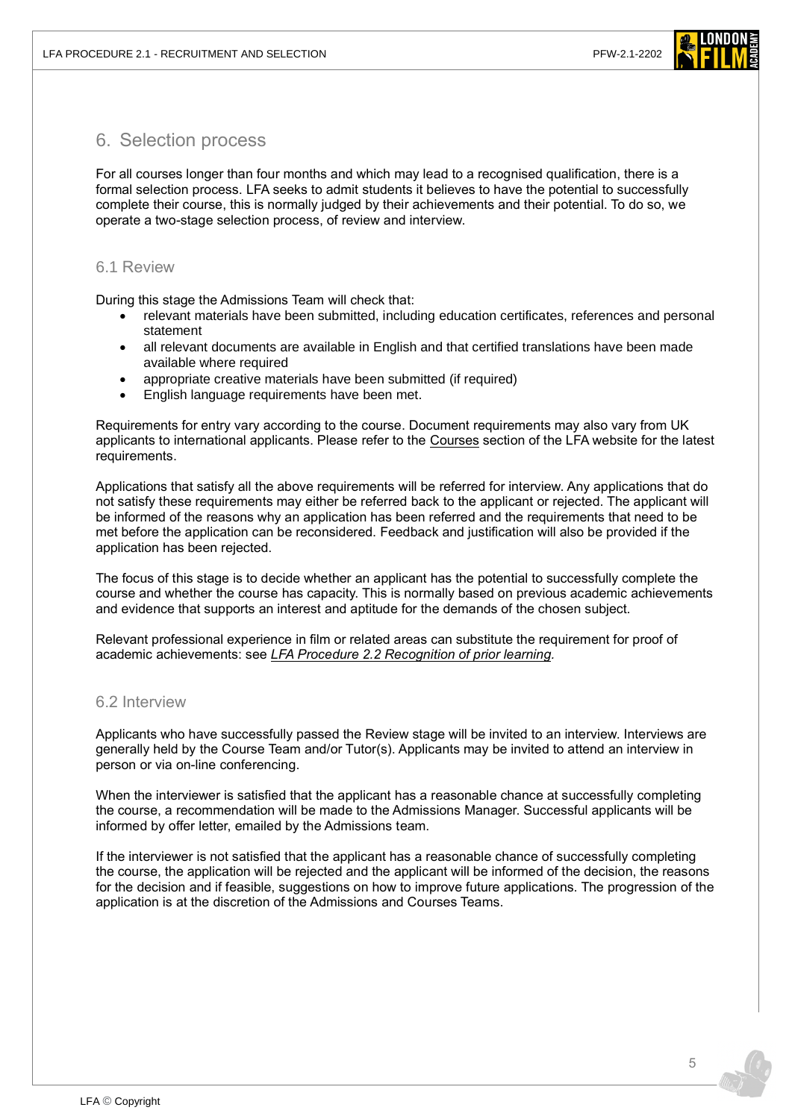

# 6. Selection process

For all courses longer than four months and which may lead to a recognised qualification, there is a formal selection process. LFA seeks to admit students it believes to have the potential to successfully complete their course, this is normally judged by their achievements and their potential. To do so, we operate a two-stage selection process, of review and interview.

#### 6.1 Review

During this stage the Admissions Team will check that:

- relevant materials have been submitted, including education certificates, references and personal statement
- all relevant documents are available in English and that certified translations have been made available where required
- appropriate creative materials have been submitted (if required)
- English language requirements have been met.

Requirements for entry vary according to the course. Document requirements may also vary from UK applicants to international applicants. Please refer to the [Courses](https://www.londonfilmacademy.com/courses/search) section of the LFA website for the latest requirements.

Applications that satisfy all the above requirements will be referred for interview. Any applications that do not satisfy these requirements may either be referred back to the applicant or rejected. The applicant will be informed of the reasons why an application has been referred and the requirements that need to be met before the application can be reconsidered. Feedback and justification will also be provided if the application has been rejected.

The focus of this stage is to decide whether an applicant has the potential to successfully complete the course and whether the course has capacity. This is normally based on previous academic achievements and evidence that supports an interest and aptitude for the demands of the chosen subject.

Relevant professional experience in film or related areas can substitute the requirement for proof of academic achievements: see *[LFA Procedure 2.2 Recognition of prior learning.](https://www.londonfilmacademy.com/LFA_Procedure_2.2_Recognition_of_prior_learning.pdf)*

#### 6.2 Interview

Applicants who have successfully passed the Review stage will be invited to an interview. Interviews are generally held by the Course Team and/or Tutor(s). Applicants may be invited to attend an interview in person or via on-line conferencing.

When the interviewer is satisfied that the applicant has a reasonable chance at successfully completing the course, a recommendation will be made to the Admissions Manager. Successful applicants will be informed by offer letter, emailed by the Admissions team.

If the interviewer is not satisfied that the applicant has a reasonable chance of successfully completing the course, the application will be rejected and the applicant will be informed of the decision, the reasons for the decision and if feasible, suggestions on how to improve future applications. The progression of the application is at the discretion of the Admissions and Courses Teams.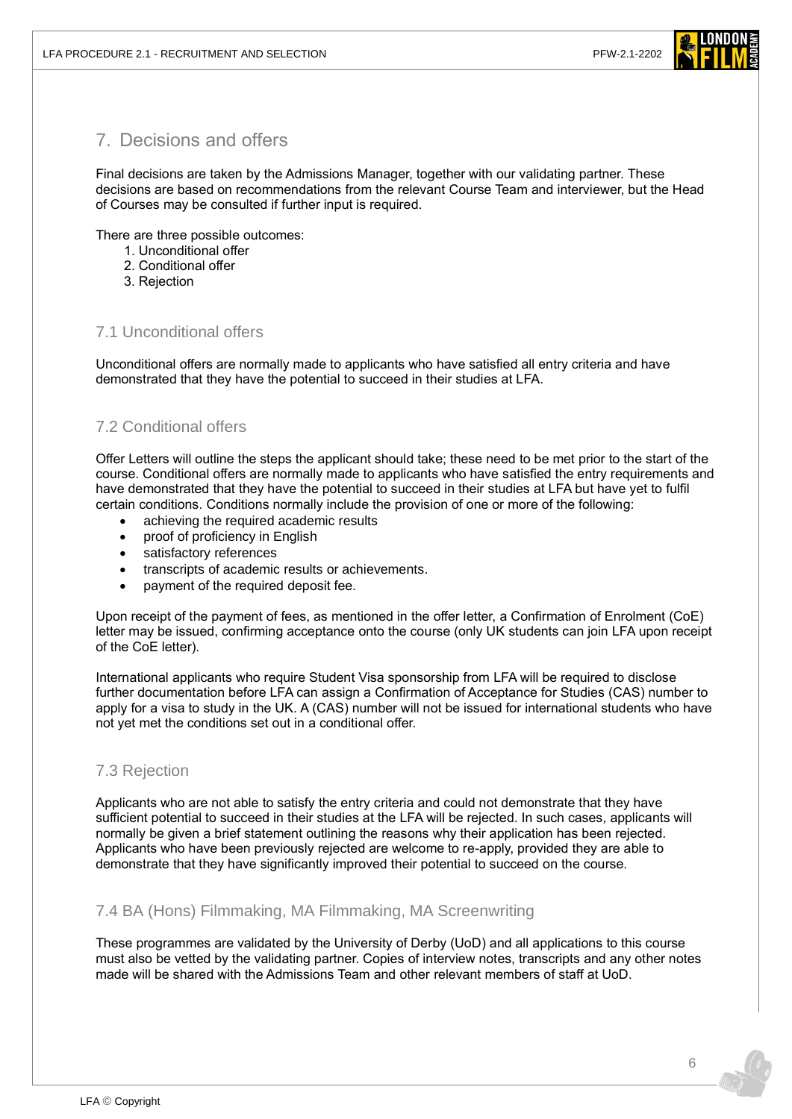

# 7. Decisions and offers

Final decisions are taken by the Admissions Manager, together with our validating partner. These decisions are based on recommendations from the relevant Course Team and interviewer, but the Head of Courses may be consulted if further input is required.

There are three possible outcomes:

- 1. Unconditional offer
- 2. Conditional offer
- 3. Rejection

# 7.1 Unconditional offers

Unconditional offers are normally made to applicants who have satisfied all entry criteria and have demonstrated that they have the potential to succeed in their studies at LFA.

# 7.2 Conditional offers

Offer Letters will outline the steps the applicant should take; these need to be met prior to the start of the course. Conditional offers are normally made to applicants who have satisfied the entry requirements and have demonstrated that they have the potential to succeed in their studies at LFA but have yet to fulfil certain conditions. Conditions normally include the provision of one or more of the following:

- achieving the required academic results
- proof of proficiency in English
- satisfactory references
- transcripts of academic results or achievements.
- payment of the required deposit fee.

Upon receipt of the payment of fees, as mentioned in the offer letter, a Confirmation of Enrolment (CoE) letter may be issued, confirming acceptance onto the course (only UK students can join LFA upon receipt of the CoE letter).

International applicants who require Student Visa sponsorship from LFA will be required to disclose further documentation before LFA can assign a Confirmation of Acceptance for Studies (CAS) number to apply for a visa to study in the UK. A (CAS) number will not be issued for international students who have not yet met the conditions set out in a conditional offer.

### 7.3 Rejection

Applicants who are not able to satisfy the entry criteria and could not demonstrate that they have sufficient potential to succeed in their studies at the LFA will be rejected. In such cases, applicants will normally be given a brief statement outlining the reasons why their application has been rejected. Applicants who have been previously rejected are welcome to re-apply, provided they are able to demonstrate that they have significantly improved their potential to succeed on the course.

# 7.4 BA (Hons) Filmmaking, MA Filmmaking, MA Screenwriting

These programmes are validated by the University of Derby (UoD) and all applications to this course must also be vetted by the validating partner. Copies of interview notes, transcripts and any other notes made will be shared with the Admissions Team and other relevant members of staff at UoD.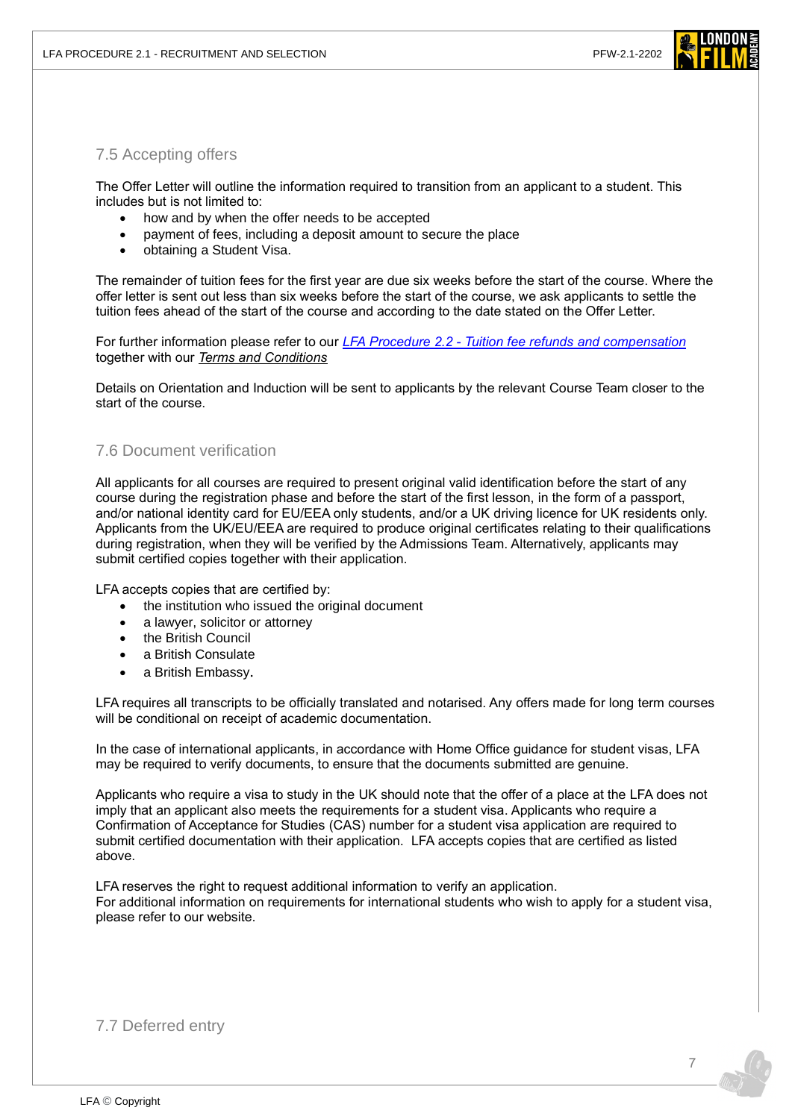

### 7.5 Accepting offers

The Offer Letter will outline the information required to transition from an applicant to a student. This includes but is not limited to:

- how and by when the offer needs to be accepted
- payment of fees, including a deposit amount to secure the place
- obtaining a Student Visa.

The remainder of tuition fees for the first year are due six weeks before the start of the course. Where the offer letter is sent out less than six weeks before the start of the course, we ask applicants to settle the tuition fees ahead of the start of the course and according to the date stated on the Offer Letter.

For further information please refer to our *LFA Procedure 2.2 - [Tuition fee refunds and compensation](https://www.londonfilmacademy.com/LFA_Procedure_2.4_Tuition_fee_refunds_and_compensation.pdf)* together with our *[Terms and Conditions](https://www.londonfilmacademy.com/LFA_Terms_Conditions.pdf)*

Details on Orientation and Induction will be sent to applicants by the relevant Course Team closer to the start of the course.

#### 7.6 Document verification

All applicants for all courses are required to present original valid identification before the start of any course during the registration phase and before the start of the first lesson, in the form of a passport, and/or national identity card for EU/EEA only students, and/or a UK driving licence for UK residents only. Applicants from the UK/EU/EEA are required to produce original certificates relating to their qualifications during registration, when they will be verified by the Admissions Team. Alternatively, applicants may submit certified copies together with their application.

LFA accepts copies that are certified by:

- the institution who issued the original document
- a lawyer, solicitor or attorney
- the British Council
- a British Consulate
- a British Embassy.

LFA requires all transcripts to be officially translated and notarised. Any offers made for long term courses will be conditional on receipt of academic documentation.

In the case of international applicants, in accordance with Home Office guidance for student visas, LFA may be required to verify documents, to ensure that the documents submitted are genuine.

Applicants who require a visa to study in the UK should note that the offer of a place at the LFA does not imply that an applicant also meets the requirements for a student visa. Applicants who require a Confirmation of Acceptance for Studies (CAS) number for a student visa application are required to submit certified documentation with their application. LFA accepts copies that are certified as listed above.

LFA reserves the right to request additional information to verify an application. For additional information on requirements for international students who wish to apply for a student visa, please refer to our website.

# 7.7 Deferred entry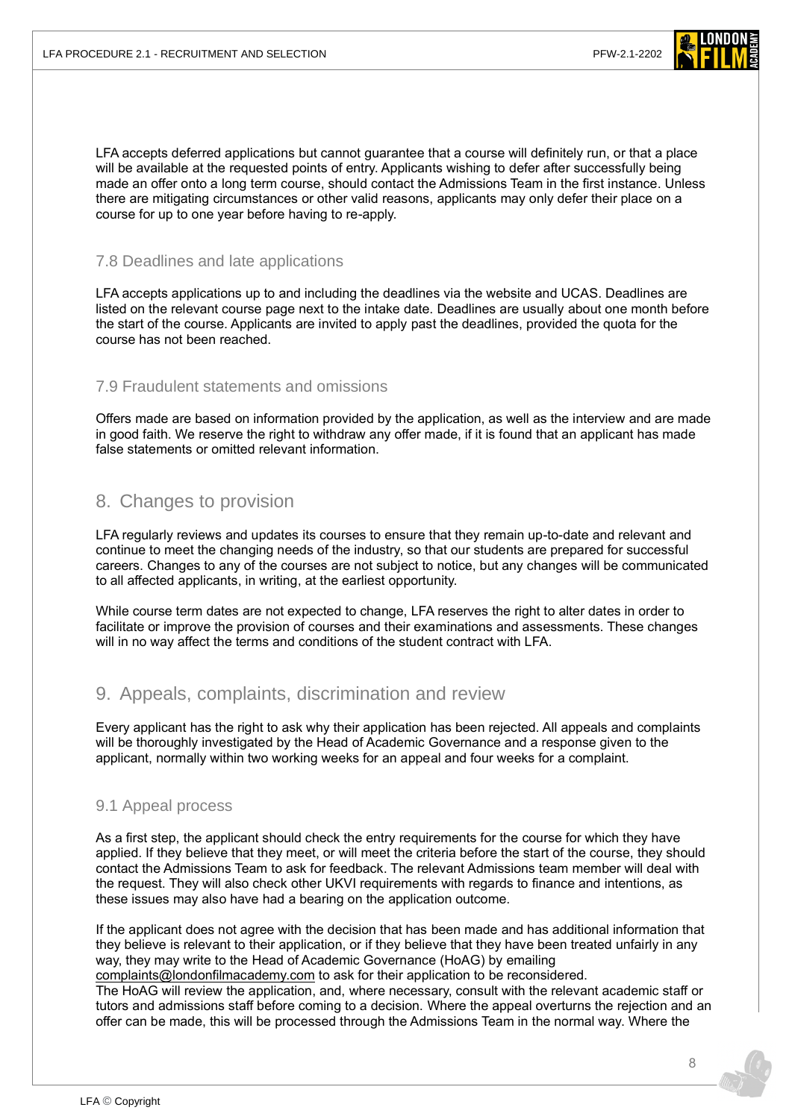

LFA accepts deferred applications but cannot guarantee that a course will definitely run, or that a place will be available at the requested points of entry. Applicants wishing to defer after successfully being made an offer onto a long term course, should contact the Admissions Team in the first instance. Unless there are mitigating circumstances or other valid reasons, applicants may only defer their place on a course for up to one year before having to re-apply.

#### 7.8 Deadlines and late applications

LFA accepts applications up to and including the deadlines via the website and UCAS. Deadlines are listed on the relevant course page next to the intake date. Deadlines are usually about one month before the start of the course. Applicants are invited to apply past the deadlines, provided the quota for the course has not been reached.

#### 7.9 Fraudulent statements and omissions

Offers made are based on information provided by the application, as well as the interview and are made in good faith. We reserve the right to withdraw any offer made, if it is found that an applicant has made false statements or omitted relevant information.

# 8. Changes to provision

LFA regularly reviews and updates its courses to ensure that they remain up-to-date and relevant and continue to meet the changing needs of the industry, so that our students are prepared for successful careers. Changes to any of the courses are not subject to notice, but any changes will be communicated to all affected applicants, in writing, at the earliest opportunity.

While course term dates are not expected to change, LFA reserves the right to alter dates in order to facilitate or improve the provision of courses and their examinations and assessments. These changes will in no way affect the terms and conditions of the student contract with LFA.

# 9. Appeals, complaints, discrimination and review

Every applicant has the right to ask why their application has been rejected. All appeals and complaints will be thoroughly investigated by the Head of Academic Governance and a response given to the applicant, normally within two working weeks for an appeal and four weeks for a complaint.

### 9.1 Appeal process

As a first step, the applicant should check the entry requirements for the course for which they have applied. If they believe that they meet, or will meet the criteria before the start of the course, they should contact the Admissions Team to ask for feedback. The relevant Admissions team member will deal with the request. They will also check other UKVI requirements with regards to finance and intentions, as these issues may also have had a bearing on the application outcome.

If the applicant does not agree with the decision that has been made and has additional information that they believe is relevant to their application, or if they believe that they have been treated unfairly in any way, they may write to the Head of Academic Governance (HoAG) by emailing [complaints@londonfilmacademy.com](mailto:complaints@londonfilmacademy.com) to ask for their application to be reconsidered. The HoAG will review the application, and, where necessary, consult with the relevant academic staff or tutors and admissions staff before coming to a decision. Where the appeal overturns the rejection and an offer can be made, this will be processed through the Admissions Team in the normal way. Where the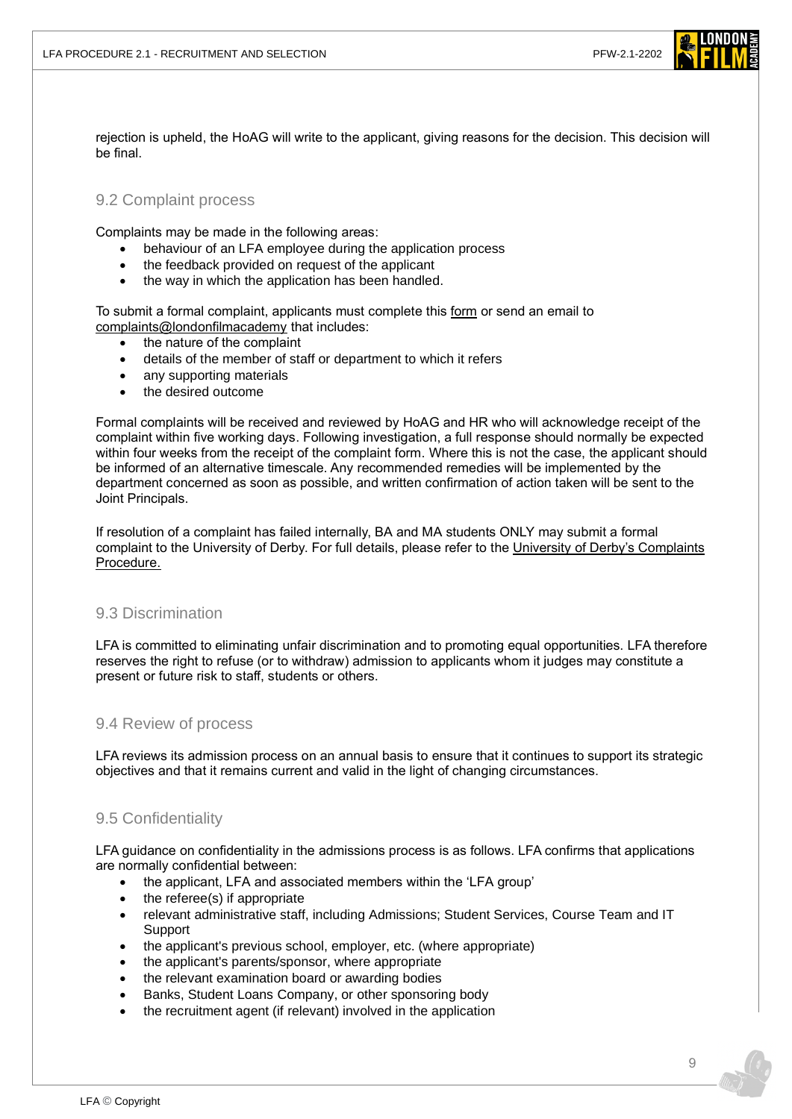

rejection is upheld, the HoAG will write to the applicant, giving reasons for the decision. This decision will be final.

# 9.2 Complaint process

Complaints may be made in the following areas:

- behaviour of an LFA employee during the application process
- the feedback provided on request of the applicant
- the way in which the application has been handled.

To submit a formal complaint, applicants must complete this [form](https://forms.office.com/r/BB0b2xukWj) or send an email to [complaints@londonfilmacademy](mailto:complaints@londonfilmacademy) that includes:

- the nature of the complaint
- details of the member of staff or department to which it refers
- any supporting materials
- the desired outcome

Formal complaints will be received and reviewed by HoAG and HR who will acknowledge receipt of the complaint within five working days. Following investigation, a full response should normally be expected within four weeks from the receipt of the complaint form. Where this is not the case, the applicant should be informed of an alternative timescale. Any recommended remedies will be implemented by the department concerned as soon as possible, and written confirmation of action taken will be sent to the Joint Principals.

If resolution of a complaint has failed internally, BA and MA students ONLY may submit a formal complaint to the University of Derby. For full details, please refer to the [University of Derby's Complaints](https://www.derby.ac.uk/about/academic-regulations/complaints-procedure/)  [Procedure.](https://www.derby.ac.uk/about/academic-regulations/complaints-procedure/)

# 9.3 Discrimination

LFA is committed to eliminating unfair discrimination and to promoting equal opportunities. LFA therefore reserves the right to refuse (or to withdraw) admission to applicants whom it judges may constitute a present or future risk to staff, students or others.

# 9.4 Review of process

LFA reviews its admission process on an annual basis to ensure that it continues to support its strategic objectives and that it remains current and valid in the light of changing circumstances.

# 9.5 Confidentiality

LFA guidance on confidentiality in the admissions process is as follows. LFA confirms that applications are normally confidential between:

- the applicant, LFA and associated members within the 'LFA group'
- the referee(s) if appropriate
- relevant administrative staff, including Admissions; Student Services, Course Team and IT Support
- the applicant's previous school, employer, etc. (where appropriate)
- the applicant's parents/sponsor, where appropriate
- the relevant examination board or awarding bodies
- Banks, Student Loans Company, or other sponsoring body
- the recruitment agent (if relevant) involved in the application